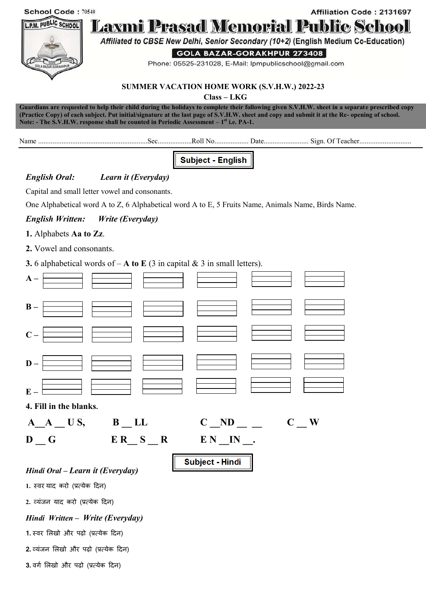| School Code: 70540<br>L.P.M. PUBLIC SCHOOL<br>GOLA BAZAR-GORAKH                                    | Affiliation Code: 2131697<br><u> Laxmi Prasad Memorial Public School</u><br>Affiliated to CBSE New Delhi, Senior Secondary (10+2) (English Medium Co-Education)<br>GOLA BAZAR-GORAKHPUR 273408<br>Phone: 05525-231028, E-Mail: Ipmpublicschool@gmail.com<br><b>SUMMER VACATION HOME WORK (S.V.H.W.) 2022-23</b> |  |
|----------------------------------------------------------------------------------------------------|-----------------------------------------------------------------------------------------------------------------------------------------------------------------------------------------------------------------------------------------------------------------------------------------------------------------|--|
|                                                                                                    | $Class-LKG$<br>Guardians are requested to help their child during the holidays to complete their following given S.V.H.W. sheet in a separate prescribed copy                                                                                                                                                   |  |
|                                                                                                    | (Practice Copy) of each subject. Put initial/signature at the last page of S.V.H.W. sheet and copy and submit it at the Re- opening of school.<br>Note: - The S.V.H.W. response shall be counted in Periodic Assessment $-1st$ i.e. PA-1.                                                                       |  |
|                                                                                                    |                                                                                                                                                                                                                                                                                                                 |  |
|                                                                                                    | <b>Subject - English</b>                                                                                                                                                                                                                                                                                        |  |
| <b>English Oral:</b>                                                                               | Learn it (Everyday)                                                                                                                                                                                                                                                                                             |  |
|                                                                                                    | Capital and small letter vowel and consonants.                                                                                                                                                                                                                                                                  |  |
| One Alphabetical word A to Z, 6 Alphabetical word A to E, 5 Fruits Name, Animals Name, Birds Name. |                                                                                                                                                                                                                                                                                                                 |  |
| <b>English Written:</b>                                                                            | Write (Everyday)                                                                                                                                                                                                                                                                                                |  |
| 1. Alphabets Aa to Zz.                                                                             |                                                                                                                                                                                                                                                                                                                 |  |
| 2. Vowel and consonants.                                                                           |                                                                                                                                                                                                                                                                                                                 |  |
| <b>3.</b> 6 alphabetical words of $-A$ to E (3 in capital & 3 in small letters).                   |                                                                                                                                                                                                                                                                                                                 |  |
| $A -$                                                                                              |                                                                                                                                                                                                                                                                                                                 |  |
| $B -$                                                                                              |                                                                                                                                                                                                                                                                                                                 |  |
|                                                                                                    |                                                                                                                                                                                                                                                                                                                 |  |
| $D -$                                                                                              |                                                                                                                                                                                                                                                                                                                 |  |
| $E -$                                                                                              |                                                                                                                                                                                                                                                                                                                 |  |
| 4. Fill in the blanks.                                                                             |                                                                                                                                                                                                                                                                                                                 |  |
| $A_A$ US, B LL                                                                                     | $C$ ND<br>$\mathbf{C}$ W                                                                                                                                                                                                                                                                                        |  |
| D G                                                                                                | $ER$ S R<br>$EN$ IN.                                                                                                                                                                                                                                                                                            |  |
|                                                                                                    | Subject - Hindi                                                                                                                                                                                                                                                                                                 |  |
| Hindi Oral – Learn it (Everyday)                                                                   |                                                                                                                                                                                                                                                                                                                 |  |
| 1. स्वर याद करो (प्रत्येक दिन)                                                                     |                                                                                                                                                                                                                                                                                                                 |  |
| 2. व्यंजन याद करो (प्रत्येक दिन)                                                                   |                                                                                                                                                                                                                                                                                                                 |  |
| Hindi Written - Write (Everyday)                                                                   |                                                                                                                                                                                                                                                                                                                 |  |
| 1. स्वर लिखो और पढ़ो (प्रत्येक दिन)                                                                |                                                                                                                                                                                                                                                                                                                 |  |
| 2. व्यंजन लिखो और पढ़ो (प्रत्येक दिन)                                                              |                                                                                                                                                                                                                                                                                                                 |  |
| 3. वर्ग लिखो और पढ़ो (प्रत्येक दिन)                                                                |                                                                                                                                                                                                                                                                                                                 |  |
|                                                                                                    |                                                                                                                                                                                                                                                                                                                 |  |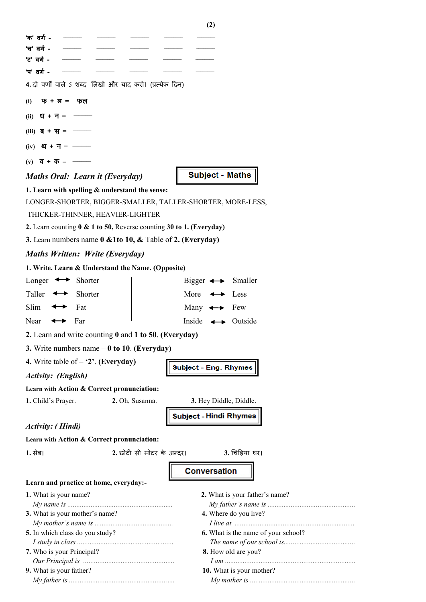|                                                                          | <b>(4)</b>                           |  |  |
|--------------------------------------------------------------------------|--------------------------------------|--|--|
| 'क' वर्ग -                                                               |                                      |  |  |
| 'च' वर्ग -                                                               |                                      |  |  |
| 'ट' वर्ग -                                                               |                                      |  |  |
| 'प' वर्ग -                                                               |                                      |  |  |
| 4. दो वर्णों वाले 5 शब्द लिखो और याद करो। (प्रत्येक दिन)                 |                                      |  |  |
| फ $+ \pi = \pi$<br>(i)                                                   |                                      |  |  |
| (ii) $2i + 7i =$ ——                                                      |                                      |  |  |
| (iii) $\overline{q} + \overline{q} =$ —                                  |                                      |  |  |
| $(iv)$ थ + न = —                                                         |                                      |  |  |
| $(v)$ $\vec{q} + \vec{\sigma} =$ —                                       |                                      |  |  |
| Maths Oral: Learn it (Everyday)                                          | <b>Subject - Maths</b>               |  |  |
| 1. Learn with spelling $&$ understand the sense:                         |                                      |  |  |
| LONGER-SHORTER, BIGGER-SMALLER, TALLER-SHORTER, MORE-LESS,               |                                      |  |  |
| THICKER-THINNER, HEAVIER-LIGHTER                                         |                                      |  |  |
| 2. Learn counting 0 & 1 to 50, Reverse counting 30 to 1. (Everyday)      |                                      |  |  |
| 3. Learn numbers name $0 \& 1$ to $10, \& 1$ Table of 2. (Everyday)      |                                      |  |  |
| <b>Maths Written: Write (Everyday)</b>                                   |                                      |  |  |
| 1. Write, Learn & Understand the Name. (Opposite)                        |                                      |  |  |
| Longer $\leftrightarrow$ Shorter<br>Bigger $\longleftrightarrow$ Smaller |                                      |  |  |
|                                                                          |                                      |  |  |
| Taller $\leftrightarrow$<br>Shorter                                      | More $\leftrightarrow$ Less          |  |  |
| Slim<br>Fat<br>↔                                                         | Many $\leftrightarrow$ Few           |  |  |
| $\leftrightarrow$ Far<br>Near                                            | Inside $\longleftrightarrow$ Outside |  |  |
| 2. Learn and write counting 0 and 1 to 50. (Everyday)                    |                                      |  |  |
| 3. Write numbers name $-0$ to 10. (Everyday)                             |                                      |  |  |
| 4. Write table of $-$ '2'. (Everyday)                                    |                                      |  |  |
| <b>Activity:</b> (English)                                               | <b>Subject - Eng. Rhymes</b>         |  |  |
| Learn with Action & Correct pronunciation:                               |                                      |  |  |
| 1. Child's Prayer.<br>2. Oh, Susanna.                                    | 3. Hey Diddle, Diddle.               |  |  |
|                                                                          | <b>Subject - Hindi Rhymes</b>        |  |  |
| <b>Activity:</b> ( <i>Hindi</i> )                                        |                                      |  |  |
| Learn with Action & Correct pronunciation:                               |                                      |  |  |
| 2. छोटी सी मोटर के अन्दर।<br>1. सेब।                                     | 3. चिड़िया घर।                       |  |  |
|                                                                          |                                      |  |  |
|                                                                          | <b>Conversation</b>                  |  |  |
| Learn and practice at home, everyday:-                                   |                                      |  |  |
| 1. What is your name?                                                    | 2. What is your father's name?       |  |  |
|                                                                          | 4. Where do you live?                |  |  |
| 3. What is your mother's name?                                           |                                      |  |  |
| 5. In which class do you study?                                          | 6. What is the name of your school?  |  |  |
|                                                                          |                                      |  |  |
| 7. Who is your Principal?                                                | 8. How old are you?                  |  |  |
|                                                                          |                                      |  |  |
| 9. What is your father?                                                  | 10. What is your mother?             |  |  |
|                                                                          |                                      |  |  |

**(2)**